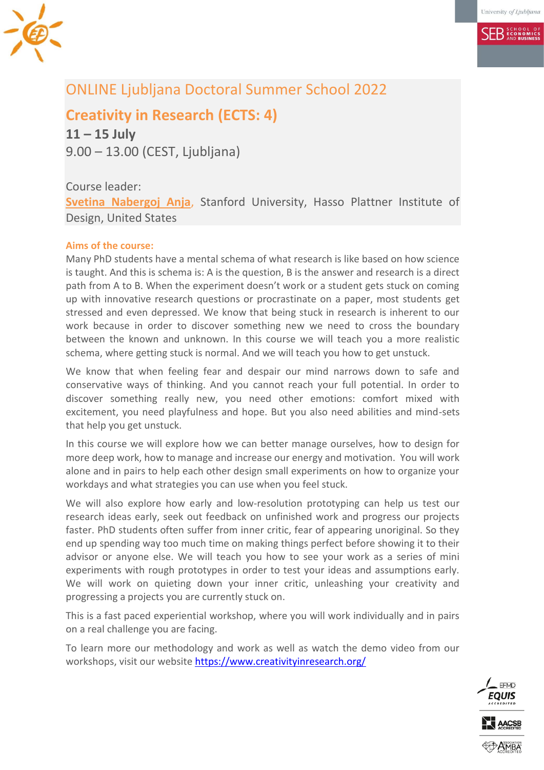**SER** ECONOMICS



# ONLINE Ljubljana Doctoral Summer School 2022

**Creativity in Research (ECTS: 4)**

**11 – 15 July** 9.00 – 13.00 (CEST, Ljubljana)

## Course leader:

**[Svetina Nabergoj Anja](mailto:anja@dschool.stanford.edu)**, Stanford University, Hasso Plattner Institute of Design, United States

## **Aims of the course:**

Many PhD students have a mental schema of what research is like based on how science is taught. And this is schema is: A is the question, B is the answer and research is a direct path from A to B. When the experiment doesn't work or a student gets stuck on coming up with innovative research questions or procrastinate on a paper, most students get stressed and even depressed. We know that being stuck in research is inherent to our work because in order to discover something new we need to cross the boundary between the known and unknown. In this course we will teach you a more realistic schema, where getting stuck is normal. And we will teach you how to get unstuck.

We know that when feeling fear and despair our mind narrows down to safe and conservative ways of thinking. And you cannot reach your full potential. In order to discover something really new, you need other emotions: comfort mixed with excitement, you need playfulness and hope. But you also need abilities and mind-sets that help you get unstuck.

In this course we will explore how we can better manage ourselves, how to design for more deep work, how to manage and increase our energy and motivation. You will work alone and in pairs to help each other design small experiments on how to organize your workdays and what strategies you can use when you feel stuck.

We will also explore how early and low-resolution prototyping can help us test our research ideas early, seek out feedback on unfinished work and progress our projects faster. PhD students often suffer from inner critic, fear of appearing unoriginal. So they end up spending way too much time on making things perfect before showing it to their advisor or anyone else. We will teach you how to see your work as a series of mini experiments with rough prototypes in order to test your ideas and assumptions early. We will work on quieting down your inner critic, unleashing your creativity and progressing a projects you are currently stuck on.

This is a fast paced experiential workshop, where you will work individually and in pairs on a real challenge you are facing.

To learn more our methodology and work as well as watch the demo video from our workshops, visit our website<https://www.creativityinresearch.org/>

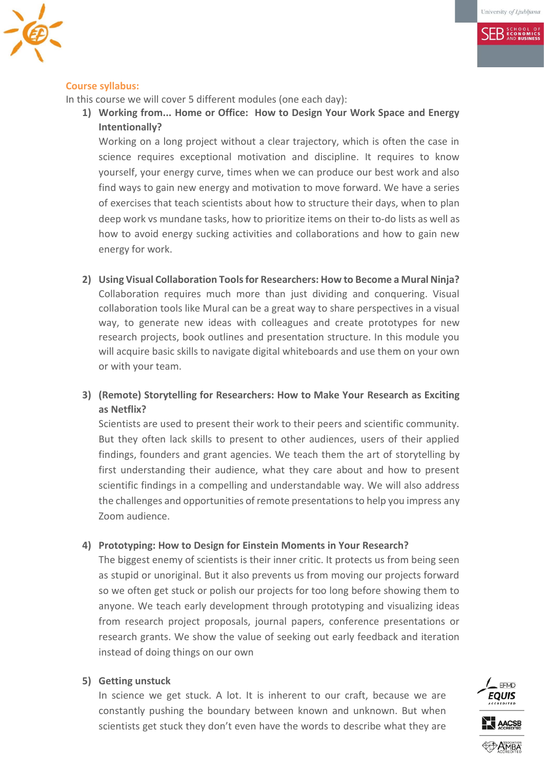**SFR** ECONOMICS



#### **Course syllabus:**

In this course we will cover 5 different modules (one each day):

**1) Working from... Home or Office: How to Design Your Work Space and Energy Intentionally?**

Working on a long project without a clear trajectory, which is often the case in science requires exceptional motivation and discipline. It requires to know yourself, your energy curve, times when we can produce our best work and also find ways to gain new energy and motivation to move forward. We have a series of exercises that teach scientists about how to structure their days, when to plan deep work vs mundane tasks, how to prioritize items on their to-do lists as well as how to avoid energy sucking activities and collaborations and how to gain new energy for work.

**2) Using Visual Collaboration Tools for Researchers: How to Become a Mural Ninja?** Collaboration requires much more than just dividing and conquering. Visual collaboration tools like Mural can be a great way to share perspectives in a visual way, to generate new ideas with colleagues and create prototypes for new research projects, book outlines and presentation structure. In this module you will acquire basic skills to navigate digital whiteboards and use them on your own or with your team.

## **3) (Remote) Storytelling for Researchers: How to Make Your Research as Exciting as Netflix?**

Scientists are used to present their work to their peers and scientific community. But they often lack skills to present to other audiences, users of their applied findings, founders and grant agencies. We teach them the art of storytelling by first understanding their audience, what they care about and how to present scientific findings in a compelling and understandable way. We will also address the challenges and opportunities of remote presentations to help you impress any Zoom audience.

#### **4) Prototyping: How to Design for Einstein Moments in Your Research?**

The biggest enemy of scientists is their inner critic. It protects us from being seen as stupid or unoriginal. But it also prevents us from moving our projects forward so we often get stuck or polish our projects for too long before showing them to anyone. We teach early development through prototyping and visualizing ideas from research project proposals, journal papers, conference presentations or research grants. We show the value of seeking out early feedback and iteration instead of doing things on our own

#### **5) Getting unstuck**

In science we get stuck. A lot. It is inherent to our craft, because we are constantly pushing the boundary between known and unknown. But when scientists get stuck they don't even have the words to describe what they are

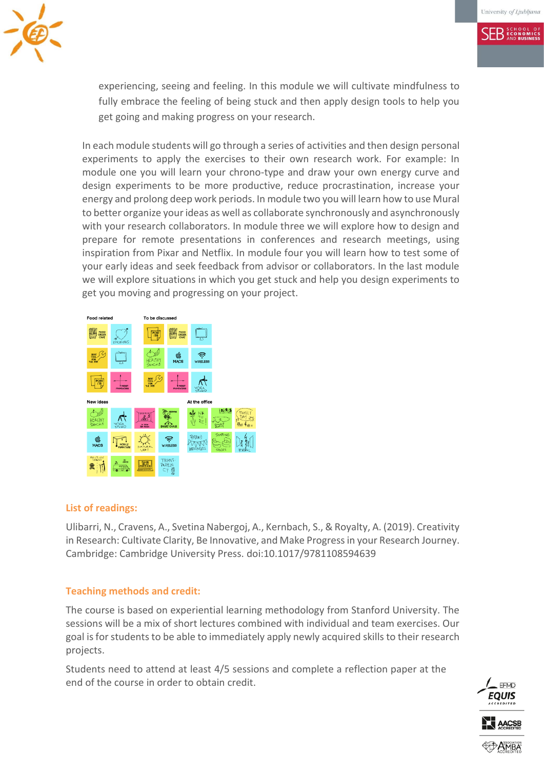**SER ECONOMICS** 



experiencing, seeing and feeling. In this module we will cultivate mindfulness to fully embrace the feeling of being stuck and then apply design tools to help you get going and making progress on your research.

In each module students will go through a series of activities and then design personal experiments to apply the exercises to their own research work. For example: In module one you will learn your chrono-type and draw your own energy curve and design experiments to be more productive, reduce procrastination, increase your energy and prolong deep work periods. In module two you will learn how to use Mural to better organize your ideas as well as collaborate synchronously and asynchronously with your research collaborators. In module three we will explore how to design and prepare for remote presentations in conferences and research meetings, using inspiration from Pixar and Netflix. In module four you will learn how to test some of your early ideas and seek feedback from advisor or collaborators. In the last module we will explore situations in which you get stuck and help you design experiments to get you moving and progressing on your project.



#### **List of readings:**

Ulibarri, N., Cravens, A., Svetina Nabergoj, A., Kernbach, S., & Royalty, A. (2019). Creativity in Research: Cultivate Clarity, Be Innovative, and Make Progress in your Research Journey. Cambridge: Cambridge University Press. doi:10.1017/9781108594639

#### **Teaching methods and credit:**

The course is based on experiential learning methodology from Stanford University. The sessions will be a mix of short lectures combined with individual and team exercises. Our goal is for students to be able to immediately apply newly acquired skills to their research projects.

Students need to attend at least 4/5 sessions and complete a reflection paper at the end of the course in order to obtain credit.